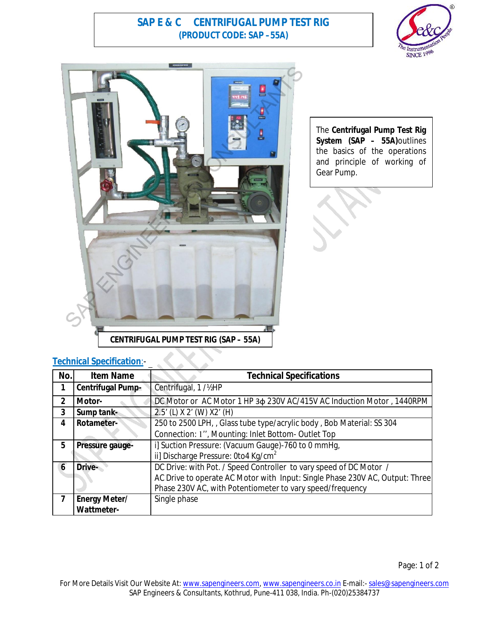# **SAP E & C CENTRIFUGAL PUMP TEST RIG (PRODUCT CODE: SAP –55A)**





The **Centrifugal Pump Test Rig System (SAP – 55A)**outlines the basics of the operations and principle of working of Gear Pump.

### **Technical Specification**:-

| No.          | <b>Item Name</b>     | <b>Technical Specifications</b>                                              |
|--------------|----------------------|------------------------------------------------------------------------------|
|              | Centrifugal Pump-    | Centrifugal, 1 / 1/2HP                                                       |
| $\mathbf{2}$ | Motor-               | DC Motor or AC Motor 1 HP 3 $\phi$ 230V AC/415V AC Induction Motor, 1440RPM  |
| $\mathbf{3}$ | Sump tank-           | 2.5' (L) X 2' (W) X2' (H)                                                    |
| 4            | Rotameter-           | 250 to 2500 LPH, , Glass tube type/acrylic body, Bob Material: SS 304        |
|              |                      | Connection: 1", Mounting: Inlet Bottom-Outlet Top                            |
| 5            | Pressure gauge-      | i] Suction Pressure: (Vacuum Gauge)-760 to 0 mmHg,                           |
|              |                      | ii] Discharge Pressure: 0to4 Kg/cm <sup>2</sup>                              |
| 6            | Drive-               | DC Drive: with Pot. / Speed Controller to vary speed of DC Motor /           |
|              |                      | AC Drive to operate AC Motor with Input: Single Phase 230V AC, Output: Three |
|              |                      | Phase 230V AC, with Potentiometer to vary speed/frequency                    |
| 7            | <b>Energy Meter/</b> | Single phase                                                                 |
|              | <b>Wattmeter-</b>    |                                                                              |